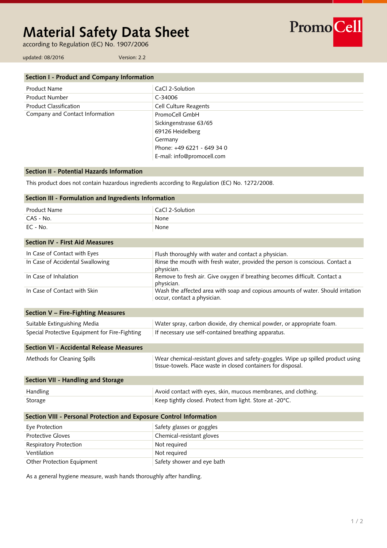# **Material Safety Data Sheet**

according to Regulation (EC) No. 1907/2006

PromoCell

updated: 08/2016 Version: 2.2

| Section I - Product and Company Information |                            |
|---------------------------------------------|----------------------------|
| Product Name                                | CaCl 2-Solution            |
| Product Number                              | C-34006                    |
| <b>Product Classification</b>               | Cell Culture Reagents      |
| Company and Contact Information             | PromoCell GmbH             |
|                                             | Sickingenstrasse 63/65     |
|                                             | 69126 Heidelberg           |
|                                             | Germany                    |
|                                             | Phone: +49 6221 - 649 34 0 |
|                                             | E-mail: info@promocell.com |

# **Section II - Potential Hazards Information**

This product does not contain hazardous ingredients according to Regulation (EC) No. 1272/2008.

| Section III - Formulation and Ingredients Information               |                                                                                                                                                   |  |
|---------------------------------------------------------------------|---------------------------------------------------------------------------------------------------------------------------------------------------|--|
| <b>Product Name</b>                                                 | CaCl 2-Solution                                                                                                                                   |  |
| CAS - No.                                                           | None                                                                                                                                              |  |
| EC - No.                                                            | None                                                                                                                                              |  |
| <b>Section IV - First Aid Measures</b>                              |                                                                                                                                                   |  |
| In Case of Contact with Eyes                                        | Flush thoroughly with water and contact a physician.                                                                                              |  |
| In Case of Accidental Swallowing                                    | Rinse the mouth with fresh water, provided the person is conscious. Contact a<br>physician.                                                       |  |
| In Case of Inhalation                                               | Remove to fresh air. Give oxygen if breathing becomes difficult. Contact a<br>physician.                                                          |  |
| In Case of Contact with Skin                                        | Wash the affected area with soap and copious amounts of water. Should irritation<br>occur, contact a physician.                                   |  |
| <b>Section V - Fire-Fighting Measures</b>                           |                                                                                                                                                   |  |
| Suitable Extinguishing Media                                        | Water spray, carbon dioxide, dry chemical powder, or appropriate foam.                                                                            |  |
| Special Protective Equipment for Fire-Fighting                      | If necessary use self-contained breathing apparatus.                                                                                              |  |
| <b>Section VI - Accidental Release Measures</b>                     |                                                                                                                                                   |  |
| Methods for Cleaning Spills                                         | Wear chemical-resistant gloves and safety-goggles. Wipe up spilled product using<br>tissue-towels. Place waste in closed containers for disposal. |  |
| Section VII - Handling and Storage                                  |                                                                                                                                                   |  |
| Handling                                                            | Avoid contact with eyes, skin, mucous membranes, and clothing.                                                                                    |  |
| Storage                                                             | Keep tightly closed. Protect from light. Store at -20°C.                                                                                          |  |
| Section VIII - Personal Protection and Exposure Control Information |                                                                                                                                                   |  |
| Eye Protection                                                      | Safety glasses or goggles                                                                                                                         |  |
| <b>Protective Gloves</b>                                            | Chemical-resistant gloves                                                                                                                         |  |
| Respiratory Protection                                              | Not required                                                                                                                                      |  |
| Ventilation                                                         | Not required                                                                                                                                      |  |
| Other Protection Equipment                                          | Safety shower and eye bath                                                                                                                        |  |

As a general hygiene measure, wash hands thoroughly after handling.